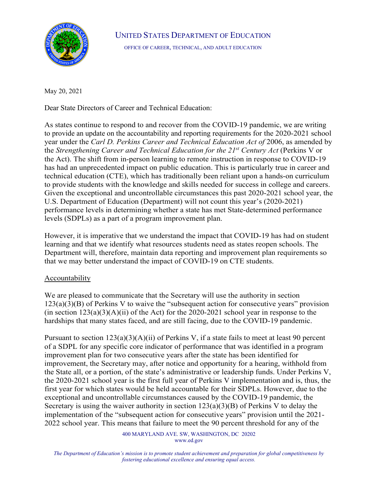

## UNITED STATES DEPARTMENT OF EDUCATION

OFFICE OF CAREER, TECHNICAL, AND ADULT EDUCATION

May 20, 2021

Dear State Directors of Career and Technical Education:

As states continue to respond to and recover from the COVID-19 pandemic, we are writing to provide an update on the accountability and reporting requirements for the 2020-2021 school year under the *Carl D. Perkins Career and Technical Education Act of* 2006, as amended by the *Strengthening Career and Technical Education for the 21st Century Act* (Perkins V or the Act). The shift from in-person learning to remote instruction in response to COVID-19 has had an unprecedented impact on public education. This is particularly true in career and technical education (CTE), which has traditionally been reliant upon a hands-on curriculum to provide students with the knowledge and skills needed for success in college and careers. Given the exceptional and uncontrollable circumstances this past 2020-2021 school year, the U.S. Department of Education (Department) will not count this year's (2020-2021) performance levels in determining whether a state has met State-determined performance levels (SDPLs) as a part of a program improvement plan.

However, it is imperative that we understand the impact that COVID-19 has had on student learning and that we identify what resources students need as states reopen schools. The Department will, therefore, maintain data reporting and improvement plan requirements so that we may better understand the impact of COVID-19 on CTE students.

## **Accountability**

We are pleased to communicate that the Secretary will use the authority in section  $123(a)(3)(B)$  of Perkins V to waive the "subsequent action for consecutive years" provision (in section  $123(a)(3)(A)(ii)$  of the Act) for the 2020-2021 school year in response to the hardships that many states faced, and are still facing, due to the COVID-19 pandemic.

Pursuant to section  $123(a)(3)(A)(ii)$  of Perkins V, if a state fails to meet at least 90 percent of a SDPL for any specific core indicator of performance that was identified in a program improvement plan for two consecutive years after the state has been identified for improvement, the Secretary may, after notice and opportunity for a hearing, withhold from the State all, or a portion, of the state's administrative or leadership funds. Under Perkins V, the 2020-2021 school year is the first full year of Perkins V implementation and is, thus, the first year for which states would be held accountable for their SDPLs. However, due to the exceptional and uncontrollable circumstances caused by the COVID-19 pandemic, the Secretary is using the waiver authority in section  $123(a)(3)(B)$  of Perkins V to delay the implementation of the "subsequent action for consecutive years" provision until the 2021- 2022 school year. This means that failure to meet the 90 percent threshold for any of the

> 400 MARYLAND AVE. SW, WASHINGTON, DC 20202 [www.ed.gov](http://www.ed.gov/)

*The Department of Education's mission is to promote student achievement and preparation for global competitiveness by fostering educational excellence and ensuring equal access.*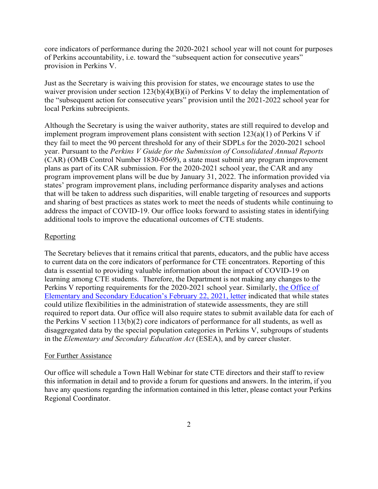core indicators of performance during the 2020-2021 school year will not count for purposes of Perkins accountability, i.e. toward the "subsequent action for consecutive years" provision in Perkins V.

Just as the Secretary is waiving this provision for states, we encourage states to use the waiver provision under section  $123(b)(4)(B)(i)$  of Perkins V to delay the implementation of the "subsequent action for consecutive years" provision until the 2021-2022 school year for local Perkins subrecipients.

Although the Secretary is using the waiver authority, states are still required to develop and implement program improvement plans consistent with section 123(a)(1) of Perkins V if they fail to meet the 90 percent threshold for any of their SDPLs for the 2020-2021 school year. Pursuant to the *Perkins V Guide for the Submission of Consolidated Annual Reports*  (CAR) (OMB Control Number 1830-0569), a state must submit any program improvement plans as part of its CAR submission. For the 2020-2021 school year, the CAR and any program improvement plans will be due by January 31, 2022. The information provided via states' program improvement plans, including performance disparity analyses and actions that will be taken to address such disparities, will enable targeting of resources and supports and sharing of best practices as states work to meet the needs of students while continuing to address the impact of COVID-19. Our office looks forward to assisting states in identifying additional tools to improve the educational outcomes of CTE students.

## **Reporting**

The Secretary believes that it remains critical that parents, educators, and the public have access to current data on the core indicators of performance for CTE concentrators. Reporting of this data is essential to providing valuable information about the impact of COVID-19 on learning among CTE students. Therefore, the Department is not making any changes to the Perkins V reporting requirements for the 2020-2021 school year. Similarly, the Office of [Elementary and Secondary Education's February](https://oese.ed.gov/files/2021/02/DCL-on-assessments-and-acct-final.pdf) 22, 2021, letter indicated that while states could utilize flexibilities in the administration of statewide assessments, they are still required to report data. Our office will also require states to submit available data for each of the Perkins V section 113(b)(2) core indicators of performance for all students, as well as disaggregated data by the special population categories in Perkins V, subgroups of students in the *Elementary and Secondary Education Act* (ESEA), and by career cluster.

## For Further Assistance

Our office will schedule a Town Hall Webinar for state CTE directors and their staff to review this information in detail and to provide a forum for questions and answers. In the interim, if you have any questions regarding the information contained in this letter, please contact your Perkins Regional Coordinator.